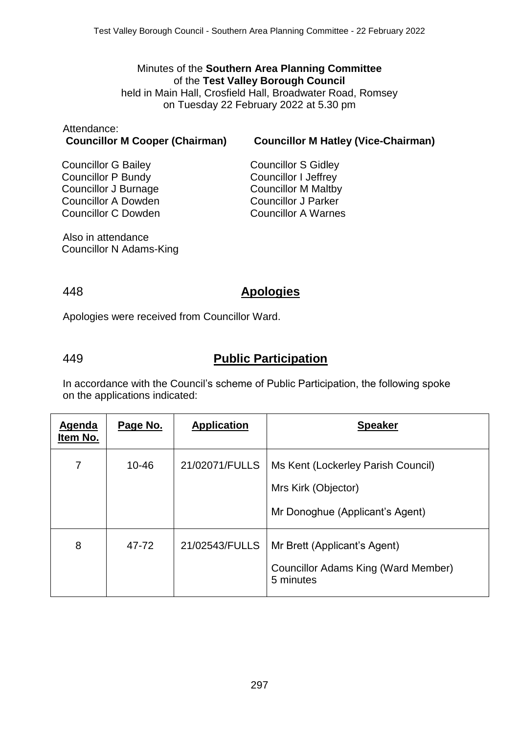#### Minutes of the **Southern Area Planning Committee** of the **Test Valley Borough Council** held in Main Hall, Crosfield Hall, Broadwater Road, Romsey on Tuesday 22 February 2022 at 5.30 pm

# Attendance:

**Councillor M Cooper (Chairman) Councillor M Hatley (Vice-Chairman)**

Councillor G Bailey Councillor P Bundy Councillor J Burnage Councillor A Dowden Councillor C Dowden Councillor S Gidley Councillor I Jeffrey Councillor M Maltby Councillor J Parker Councillor A Warnes

Also in attendance Councillor N Adams-King

### 448 **Apologies**

Apologies were received from Councillor Ward.

# 449 **Public Participation**

In accordance with the Council's scheme of Public Participation, the following spoke on the applications indicated:

| Agenda<br>Item No. | Page No.  | <b>Application</b> | <b>Speaker</b>                                                                               |
|--------------------|-----------|--------------------|----------------------------------------------------------------------------------------------|
| 7                  | $10 - 46$ | 21/02071/FULLS     | Ms Kent (Lockerley Parish Council)<br>Mrs Kirk (Objector)<br>Mr Donoghue (Applicant's Agent) |
| 8                  | 47-72     | 21/02543/FULLS     | Mr Brett (Applicant's Agent)<br>Councillor Adams King (Ward Member)<br>5 minutes             |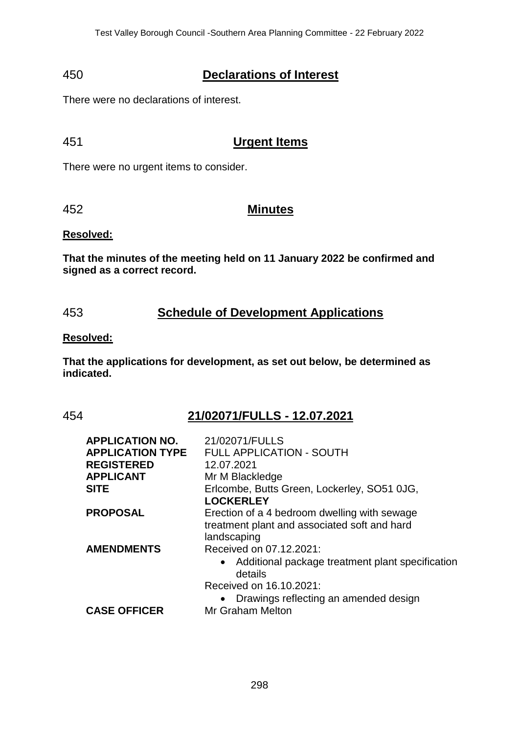# 450 **Declarations of Interest**

There were no declarations of interest.

# 451 **Urgent Items**

There were no urgent items to consider.

### 452 **Minutes**

#### **Resolved:**

**That the minutes of the meeting held on 11 January 2022 be confirmed and signed as a correct record.**

## 453 **Schedule of Development Applications**

#### **Resolved:**

**That the applications for development, as set out below, be determined as indicated.**

# 454 **21/02071/FULLS - 12.07.2021**

| <b>APPLICATION NO.</b>  | 21/02071/FULLS                                                |
|-------------------------|---------------------------------------------------------------|
| <b>APPLICATION TYPE</b> | <b>FULL APPLICATION - SOUTH</b>                               |
| <b>REGISTERED</b>       | 12.07.2021                                                    |
| <b>APPLICANT</b>        | Mr M Blackledge                                               |
| <b>SITE</b>             | Erlcombe, Butts Green, Lockerley, SO51 0JG,                   |
|                         | <b>LOCKERLEY</b>                                              |
| <b>PROPOSAL</b>         | Erection of a 4 bedroom dwelling with sewage                  |
|                         | treatment plant and associated soft and hard                  |
|                         | landscaping                                                   |
| <b>AMENDMENTS</b>       | Received on 07.12.2021:                                       |
|                         | • Additional package treatment plant specification<br>details |
|                         | Received on 16.10.2021:                                       |
|                         | Drawings reflecting an amended design                         |
| <b>CASE OFFICER</b>     | Mr Graham Melton                                              |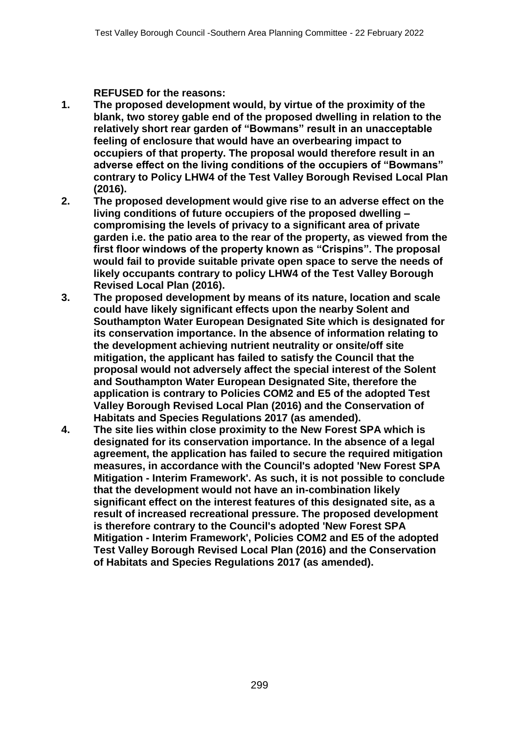### **REFUSED for the reasons:**

- **1. The proposed development would, by virtue of the proximity of the blank, two storey gable end of the proposed dwelling in relation to the relatively short rear garden of "Bowmans" result in an unacceptable feeling of enclosure that would have an overbearing impact to occupiers of that property. The proposal would therefore result in an adverse effect on the living conditions of the occupiers of "Bowmans" contrary to Policy LHW4 of the Test Valley Borough Revised Local Plan (2016).**
- **2. The proposed development would give rise to an adverse effect on the living conditions of future occupiers of the proposed dwelling – compromising the levels of privacy to a significant area of private garden i.e. the patio area to the rear of the property, as viewed from the first floor windows of the property known as "Crispins". The proposal would fail to provide suitable private open space to serve the needs of likely occupants contrary to policy LHW4 of the Test Valley Borough Revised Local Plan (2016).**
- **3. The proposed development by means of its nature, location and scale could have likely significant effects upon the nearby Solent and Southampton Water European Designated Site which is designated for its conservation importance. In the absence of information relating to the development achieving nutrient neutrality or onsite/off site mitigation, the applicant has failed to satisfy the Council that the proposal would not adversely affect the special interest of the Solent and Southampton Water European Designated Site, therefore the application is contrary to Policies COM2 and E5 of the adopted Test Valley Borough Revised Local Plan (2016) and the Conservation of Habitats and Species Regulations 2017 (as amended).**
- **4. The site lies within close proximity to the New Forest SPA which is designated for its conservation importance. In the absence of a legal agreement, the application has failed to secure the required mitigation measures, in accordance with the Council's adopted 'New Forest SPA Mitigation - Interim Framework'. As such, it is not possible to conclude that the development would not have an in-combination likely significant effect on the interest features of this designated site, as a result of increased recreational pressure. The proposed development is therefore contrary to the Council's adopted 'New Forest SPA Mitigation - Interim Framework', Policies COM2 and E5 of the adopted Test Valley Borough Revised Local Plan (2016) and the Conservation of Habitats and Species Regulations 2017 (as amended).**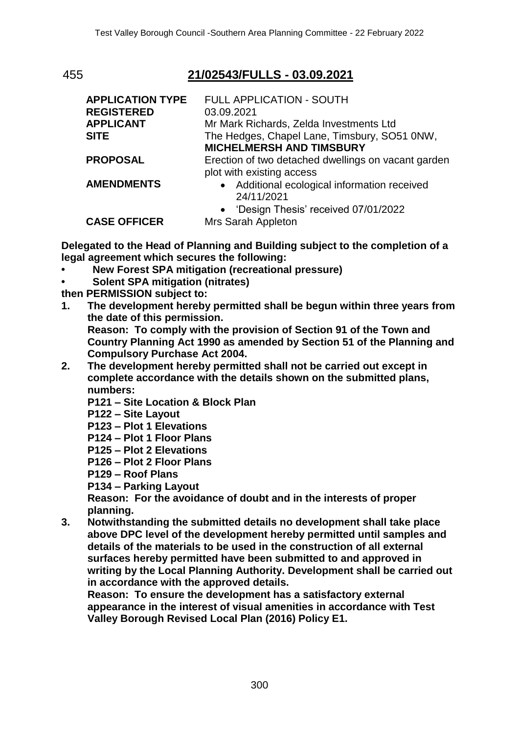# 455 **21/02543/FULLS - 03.09.2021**

| <b>APPLICATION TYPE</b><br><b>REGISTERED</b><br><b>APPLICANT</b><br><b>SITE</b> | FULL APPLICATION - SOUTH<br>03.09.2021<br>Mr Mark Richards, Zelda Investments Ltd<br>The Hedges, Chapel Lane, Timsbury, SO51 0NW, |
|---------------------------------------------------------------------------------|-----------------------------------------------------------------------------------------------------------------------------------|
|                                                                                 | <b>MICHELMERSH AND TIMSBURY</b>                                                                                                   |
| PROPOSAL                                                                        | Erection of two detached dwellings on vacant garden<br>plot with existing access                                                  |
| <b>AMENDMENTS</b>                                                               | • Additional ecological information received<br>24/11/2021                                                                        |
| <b>CASE OFFICER</b>                                                             | • 'Design Thesis' received 07/01/2022<br>Mrs Sarah Appleton                                                                       |

**Delegated to the Head of Planning and Building subject to the completion of a legal agreement which secures the following:**

- **• New Forest SPA mitigation (recreational pressure)**
- **• Solent SPA mitigation (nitrates)**

**then PERMISSION subject to:**

- **1. The development hereby permitted shall be begun within three years from the date of this permission. Reason: To comply with the provision of Section 91 of the Town and Country Planning Act 1990 as amended by Section 51 of the Planning and Compulsory Purchase Act 2004.**
- **2. The development hereby permitted shall not be carried out except in complete accordance with the details shown on the submitted plans, numbers:**
	- **P121 – Site Location & Block Plan**

**P122 – Site Layout**

- **P123 – Plot 1 Elevations**
- **P124 – Plot 1 Floor Plans**
- **P125 – Plot 2 Elevations**
- **P126 – Plot 2 Floor Plans**

**P129 – Roof Plans**

**P134 – Parking Layout** 

**Reason: For the avoidance of doubt and in the interests of proper planning.**

**3. Notwithstanding the submitted details no development shall take place above DPC level of the development hereby permitted until samples and details of the materials to be used in the construction of all external surfaces hereby permitted have been submitted to and approved in writing by the Local Planning Authority. Development shall be carried out in accordance with the approved details.**

**Reason: To ensure the development has a satisfactory external appearance in the interest of visual amenities in accordance with Test Valley Borough Revised Local Plan (2016) Policy E1.**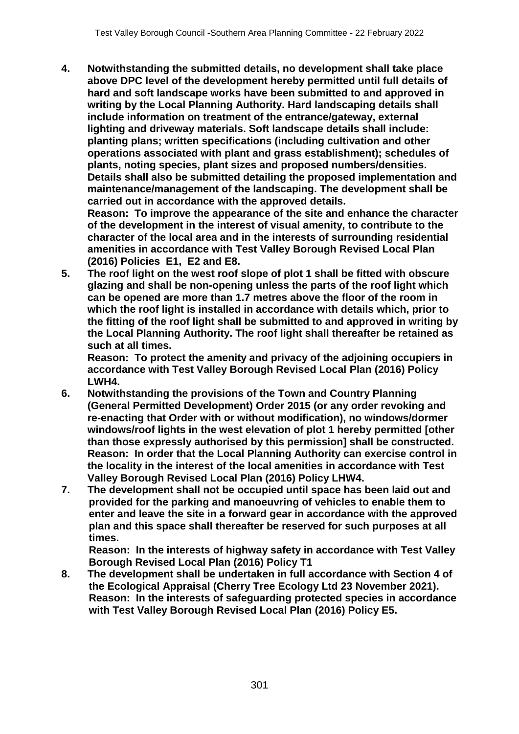**4. Notwithstanding the submitted details, no development shall take place above DPC level of the development hereby permitted until full details of hard and soft landscape works have been submitted to and approved in writing by the Local Planning Authority. Hard landscaping details shall include information on treatment of the entrance/gateway, external lighting and driveway materials. Soft landscape details shall include: planting plans; written specifications (including cultivation and other operations associated with plant and grass establishment); schedules of plants, noting species, plant sizes and proposed numbers/densities. Details shall also be submitted detailing the proposed implementation and maintenance/management of the landscaping. The development shall be carried out in accordance with the approved details.** 

**Reason: To improve the appearance of the site and enhance the character of the development in the interest of visual amenity, to contribute to the character of the local area and in the interests of surrounding residential amenities in accordance with Test Valley Borough Revised Local Plan (2016) Policies E1, E2 and E8.**

**5. The roof light on the west roof slope of plot 1 shall be fitted with obscure glazing and shall be non-opening unless the parts of the roof light which can be opened are more than 1.7 metres above the floor of the room in which the roof light is installed in accordance with details which, prior to the fitting of the roof light shall be submitted to and approved in writing by the Local Planning Authority. The roof light shall thereafter be retained as such at all times.** 

**Reason: To protect the amenity and privacy of the adjoining occupiers in accordance with Test Valley Borough Revised Local Plan (2016) Policy LWH4.**

- **6. Notwithstanding the provisions of the Town and Country Planning (General Permitted Development) Order 2015 (or any order revoking and re-enacting that Order with or without modification), no windows/dormer windows/roof lights in the west elevation of plot 1 hereby permitted [other than those expressly authorised by this permission] shall be constructed. Reason: In order that the Local Planning Authority can exercise control in the locality in the interest of the local amenities in accordance with Test Valley Borough Revised Local Plan (2016) Policy LHW4.**
- **7. The development shall not be occupied until space has been laid out and provided for the parking and manoeuvring of vehicles to enable them to enter and leave the site in a forward gear in accordance with the approved plan and this space shall thereafter be reserved for such purposes at all times.**

**Reason: In the interests of highway safety in accordance with Test Valley Borough Revised Local Plan (2016) Policy T1**

**8. The development shall be undertaken in full accordance with Section 4 of the Ecological Appraisal (Cherry Tree Ecology Ltd 23 November 2021). Reason: In the interests of safeguarding protected species in accordance with Test Valley Borough Revised Local Plan (2016) Policy E5.**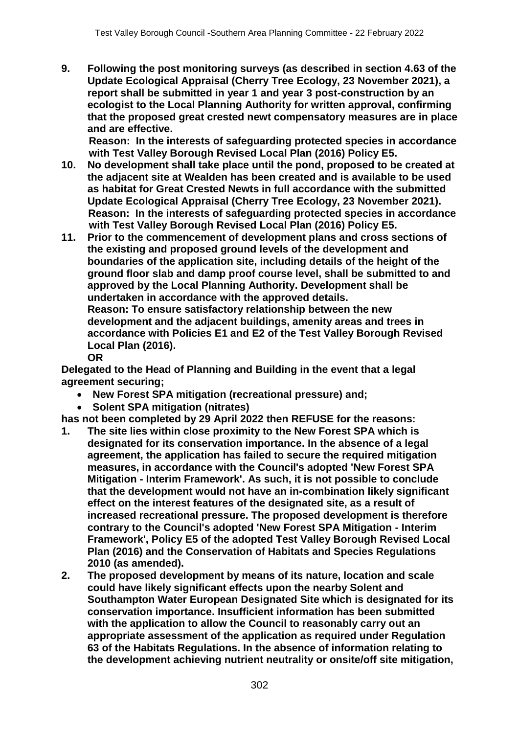**9. Following the post monitoring surveys (as described in section 4.63 of the Update Ecological Appraisal (Cherry Tree Ecology, 23 November 2021), a report shall be submitted in year 1 and year 3 post-construction by an ecologist to the Local Planning Authority for written approval, confirming that the proposed great crested newt compensatory measures are in place and are effective.**

**Reason: In the interests of safeguarding protected species in accordance with Test Valley Borough Revised Local Plan (2016) Policy E5.**

- **10. No development shall take place until the pond, proposed to be created at the adjacent site at Wealden has been created and is available to be used as habitat for Great Crested Newts in full accordance with the submitted Update Ecological Appraisal (Cherry Tree Ecology, 23 November 2021). Reason: In the interests of safeguarding protected species in accordance with Test Valley Borough Revised Local Plan (2016) Policy E5.**
- **11. Prior to the commencement of development plans and cross sections of the existing and proposed ground levels of the development and boundaries of the application site, including details of the height of the ground floor slab and damp proof course level, shall be submitted to and approved by the Local Planning Authority. Development shall be undertaken in accordance with the approved details. Reason: To ensure satisfactory relationship between the new development and the adjacent buildings, amenity areas and trees in accordance with Policies E1 and E2 of the Test Valley Borough Revised Local Plan (2016).**

**OR**

**Delegated to the Head of Planning and Building in the event that a legal agreement securing;**

- **New Forest SPA mitigation (recreational pressure) and;**
- **Solent SPA mitigation (nitrates)**

**has not been completed by 29 April 2022 then REFUSE for the reasons:**

- **1. The site lies within close proximity to the New Forest SPA which is designated for its conservation importance. In the absence of a legal agreement, the application has failed to secure the required mitigation measures, in accordance with the Council's adopted 'New Forest SPA Mitigation - Interim Framework'. As such, it is not possible to conclude that the development would not have an in-combination likely significant effect on the interest features of the designated site, as a result of increased recreational pressure. The proposed development is therefore contrary to the Council's adopted 'New Forest SPA Mitigation - Interim Framework', Policy E5 of the adopted Test Valley Borough Revised Local Plan (2016) and the Conservation of Habitats and Species Regulations 2010 (as amended).**
- **2. The proposed development by means of its nature, location and scale could have likely significant effects upon the nearby Solent and Southampton Water European Designated Site which is designated for its conservation importance. Insufficient information has been submitted with the application to allow the Council to reasonably carry out an appropriate assessment of the application as required under Regulation 63 of the Habitats Regulations. In the absence of information relating to the development achieving nutrient neutrality or onsite/off site mitigation,**